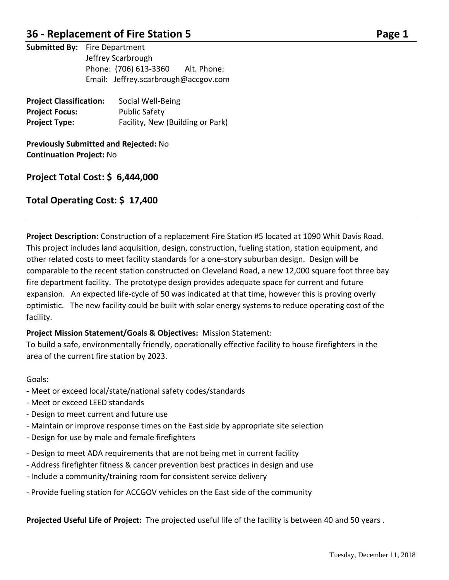### **36 - Replacement of Fire Station 5 Page 1**

**Submitted By:** Fire Department Jeffrey Scarbrough Phone: (706) 613-3360 Alt. Phone: Email: Jeffrey.scarbrough@accgov.com

| <b>Project Classification:</b> | Social Well-Being                |
|--------------------------------|----------------------------------|
| <b>Project Focus:</b>          | <b>Public Safety</b>             |
| <b>Project Type:</b>           | Facility, New (Building or Park) |

**Previously Submitted and Rejected:** No **Continuation Project:** No

### **Project Total Cost: \$ 6,444,000**

### **Total Operating Cost: \$ 17,400**

**Project Description:** Construction of a replacement Fire Station #5 located at 1090 Whit Davis Road*.*  This project includes land acquisition, design, construction, fueling station, station equipment, and other related costs to meet facility standards for a one-story suburban design. Design will be comparable to the recent station constructed on Cleveland Road, a new 12,000 square foot three bay fire department facility. The prototype design provides adequate space for current and future expansion. An expected life-cycle of 50 was indicated at that time, however this is proving overly optimistic. The new facility could be built with solar energy systems to reduce operating cost of the facility.

### **Project Mission Statement/Goals & Objectives:** Mission Statement:

To build a safe, environmentally friendly, operationally effective facility to house firefighters in the area of the current fire station by 2023.

#### Goals:

- Meet or exceed local/state/national safety codes/standards
- Meet or exceed LEED standards
- Design to meet current and future use
- Maintain or improve response times on the East side by appropriate site selection
- Design for use by male and female firefighters
- Design to meet ADA requirements that are not being met in current facility
- Address firefighter fitness & cancer prevention best practices in design and use
- Include a community/training room for consistent service delivery
- Provide fueling station for ACCGOV vehicles on the East side of the community

**Projected Useful Life of Project:** The projected useful life of the facility is between 40 and 50 years .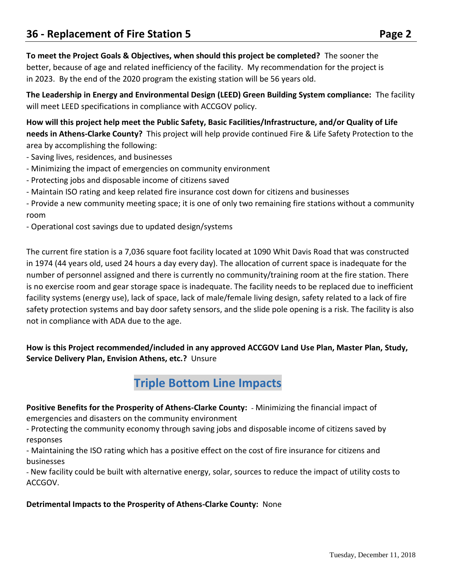**To meet the Project Goals & Objectives, when should this project be completed?** The sooner the better, because of age and related inefficiency of the facility. My recommendation for the project is in 2023. By the end of the 2020 program the existing station will be 56 years old.

**The Leadership in Energy and Environmental Design (LEED) Green Building System compliance:** The facility will meet LEED specifications in compliance with ACCGOV policy.

**How will this project help meet the Public Safety, Basic Facilities/Infrastructure, and/or Quality of Life needs in Athens-Clarke County?** This project will help provide continued Fire & Life Safety Protection to the area by accomplishing the following:

- Saving lives, residences, and businesses
- Minimizing the impact of emergencies on community environment
- Protecting jobs and disposable income of citizens saved
- Maintain ISO rating and keep related fire insurance cost down for citizens and businesses

- Provide a new community meeting space; it is one of only two remaining fire stations without a community room

- Operational cost savings due to updated design/systems

The current fire station is a 7,036 square foot facility located at 1090 Whit Davis Road that was constructed in 1974 (44 years old, used 24 hours a day every day). The allocation of current space is inadequate for the number of personnel assigned and there is currently no community/training room at the fire station. There is no exercise room and gear storage space is inadequate. The facility needs to be replaced due to inefficient facility systems (energy use), lack of space, lack of male/female living design, safety related to a lack of fire safety protection systems and bay door safety sensors, and the slide pole opening is a risk. The facility is also not in compliance with ADA due to the age.

**How is this Project recommended/included in any approved ACCGOV Land Use Plan, Master Plan, Study, Service Delivery Plan, Envision Athens, etc.?** Unsure

## **Triple Bottom Line Impacts**

**Positive Benefits for the Prosperity of Athens-Clarke County:** - Minimizing the financial impact of emergencies and disasters on the community environment

- Protecting the community economy through saving jobs and disposable income of citizens saved by responses

- Maintaining the ISO rating which has a positive effect on the cost of fire insurance for citizens and businesses

- New facility could be built with alternative energy, solar, sources to reduce the impact of utility costs to ACCGOV.

### **Detrimental Impacts to the Prosperity of Athens-Clarke County:** None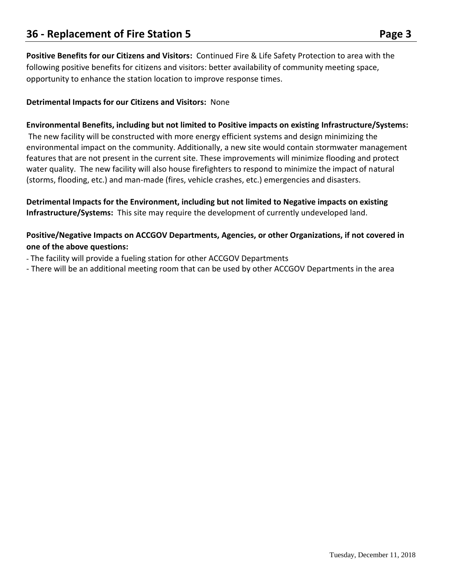**Positive Benefits for our Citizens and Visitors:** Continued Fire & Life Safety Protection to area with the following positive benefits for citizens and visitors: better availability of community meeting space, opportunity to enhance the station location to improve response times.

### **Detrimental Impacts for our Citizens and Visitors:** None

### **Environmental Benefits, including but not limited to Positive impacts on existing Infrastructure/Systems:**

The new facility will be constructed with more energy efficient systems and design minimizing the environmental impact on the community. Additionally, a new site would contain stormwater management features that are not present in the current site. These improvements will minimize flooding and protect water quality. The new facility will also house firefighters to respond to minimize the impact of natural (storms, flooding, etc.) and man-made (fires, vehicle crashes, etc.) emergencies and disasters.

**Detrimental Impacts for the Environment, including but not limited to Negative impacts on existing Infrastructure/Systems:** This site may require the development of currently undeveloped land.

### **Positive/Negative Impacts on ACCGOV Departments, Agencies, or other Organizations, if not covered in one of the above questions:**

- The facility will provide a fueling station for other ACCGOV Departments
- There will be an additional meeting room that can be used by other ACCGOV Departments in the area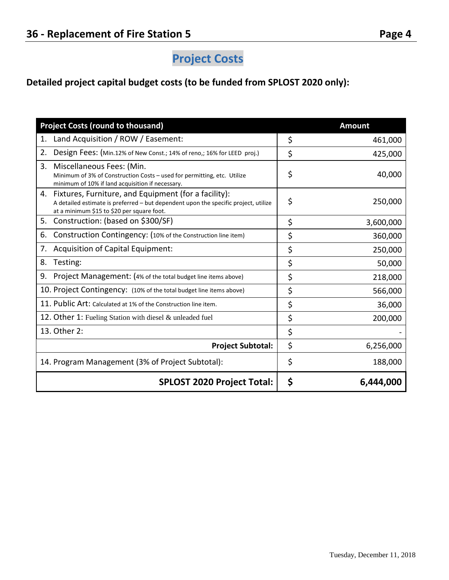### **Detailed project capital budget costs (to be funded from SPLOST 2020 only):**

| <b>Project Costs (round to thousand)</b>                                                                                                                                                        |    | <b>Amount</b> |
|-------------------------------------------------------------------------------------------------------------------------------------------------------------------------------------------------|----|---------------|
| Land Acquisition / ROW / Easement:<br>1.                                                                                                                                                        | \$ | 461,000       |
| 2.<br>Design Fees: (Min.12% of New Const.; 14% of reno,; 16% for LEED proj.)                                                                                                                    | \$ | 425,000       |
| 3.<br>Miscellaneous Fees: (Min.<br>Minimum of 3% of Construction Costs - used for permitting, etc. Utilize<br>minimum of 10% if land acquisition if necessary.                                  | \$ | 40,000        |
| Fixtures, Furniture, and Equipment (for a facility):<br>4.<br>A detailed estimate is preferred - but dependent upon the specific project, utilize<br>at a minimum \$15 to \$20 per square foot. | \$ | 250,000       |
| 5.<br>Construction: (based on \$300/SF)                                                                                                                                                         | \$ | 3,600,000     |
| Construction Contingency: (10% of the Construction line item)<br>6.                                                                                                                             | \$ | 360,000       |
| Acquisition of Capital Equipment:<br>7.                                                                                                                                                         | \$ | 250,000       |
| Testing:<br>8.                                                                                                                                                                                  | \$ | 50,000        |
| 9.<br>Project Management: (4% of the total budget line items above)                                                                                                                             | \$ | 218,000       |
| 10. Project Contingency: (10% of the total budget line items above)                                                                                                                             | \$ | 566,000       |
| 11. Public Art: Calculated at 1% of the Construction line item.                                                                                                                                 | \$ | 36,000        |
| 12. Other 1: Fueling Station with diesel & unleaded fuel                                                                                                                                        | \$ | 200,000       |
| 13. Other 2:                                                                                                                                                                                    | \$ |               |
| <b>Project Subtotal:</b>                                                                                                                                                                        | \$ | 6,256,000     |
| 14. Program Management (3% of Project Subtotal):                                                                                                                                                | \$ | 188,000       |
| <b>SPLOST 2020 Project Total:</b>                                                                                                                                                               |    | 6,444,000     |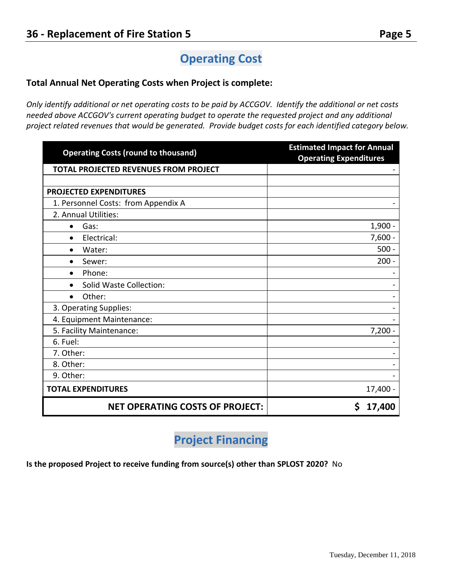# **Operating Cost**

### **Total Annual Net Operating Costs when Project is complete:**

*Only identify additional or net operating costs to be paid by ACCGOV. Identify the additional or net costs needed above ACCGOV's current operating budget to operate the requested project and any additional project related revenues that would be generated. Provide budget costs for each identified category below.* 

| <b>Operating Costs (round to thousand)</b> | <b>Estimated Impact for Annual</b><br><b>Operating Expenditures</b> |
|--------------------------------------------|---------------------------------------------------------------------|
| TOTAL PROJECTED REVENUES FROM PROJECT      |                                                                     |
|                                            |                                                                     |
| PROJECTED EXPENDITURES                     |                                                                     |
| 1. Personnel Costs: from Appendix A        |                                                                     |
| 2. Annual Utilities:                       |                                                                     |
| Gas:<br>$\bullet$                          | $1,900 -$                                                           |
| Electrical:<br>$\bullet$                   | $7,600 -$                                                           |
| Water:<br>$\bullet$                        | $500 -$                                                             |
| Sewer:<br>$\bullet$                        | $200 -$                                                             |
| Phone:<br>$\bullet$                        |                                                                     |
| Solid Waste Collection:<br>$\bullet$       |                                                                     |
| Other:<br>$\bullet$                        |                                                                     |
| 3. Operating Supplies:                     |                                                                     |
| 4. Equipment Maintenance:                  |                                                                     |
| 5. Facility Maintenance:                   | $7,200 -$                                                           |
| 6. Fuel:                                   |                                                                     |
| 7. Other:                                  |                                                                     |
| 8. Other:                                  |                                                                     |
| 9. Other:                                  |                                                                     |
| <b>TOTAL EXPENDITURES</b>                  | 17,400 -                                                            |
| <b>NET OPERATING COSTS OF PROJECT:</b>     | \$<br>17,400                                                        |

## **Project Financing**

**Is the proposed Project to receive funding from source(s) other than SPLOST 2020?** No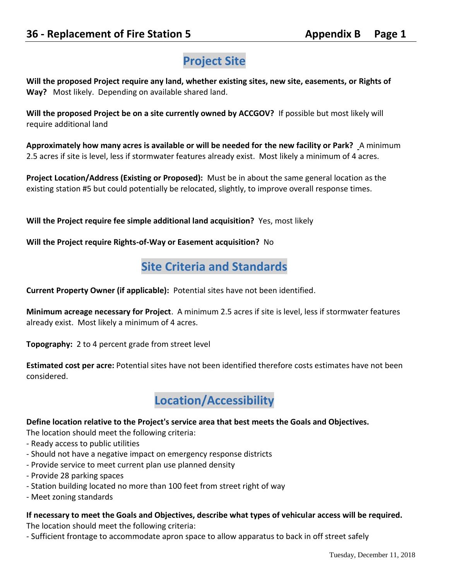# **Project Site**

**Will the proposed Project require any land, whether existing sites, new site, easements, or Rights of Way?** Most likely. Depending on available shared land.

**Will the proposed Project be on a site currently owned by ACCGOV?** If possible but most likely will require additional land

**Approximately how many acres is available or will be needed for the new facility or Park?** A minimum 2.5 acres if site is level, less if stormwater features already exist. Most likely a minimum of 4 acres.

**Project Location/Address (Existing or Proposed):** Must be in about the same general location as the existing station #5 but could potentially be relocated, slightly, to improve overall response times.

**Will the Project require fee simple additional land acquisition?** Yes, most likely

**Will the Project require Rights-of-Way or Easement acquisition?** No

## **Site Criteria and Standards**

**Current Property Owner (if applicable):** Potential sites have not been identified.

**Minimum acreage necessary for Project**. A minimum 2.5 acres if site is level, less if stormwater features already exist. Most likely a minimum of 4 acres.

**Topography:** 2 to 4 percent grade from street level

**Estimated cost per acre:** Potential sites have not been identified therefore costs estimates have not been considered.



### **Define location relative to the Project's service area that best meets the Goals and Objectives.**

The location should meet the following criteria:

- Ready access to public utilities
- Should not have a negative impact on emergency response districts
- Provide service to meet current plan use planned density
- Provide 28 parking spaces
- Station building located no more than 100 feet from street right of way
- Meet zoning standards

### **If necessary to meet the Goals and Objectives, describe what types of vehicular access will be required.**

The location should meet the following criteria:

- Sufficient frontage to accommodate apron space to allow apparatus to back in off street safely